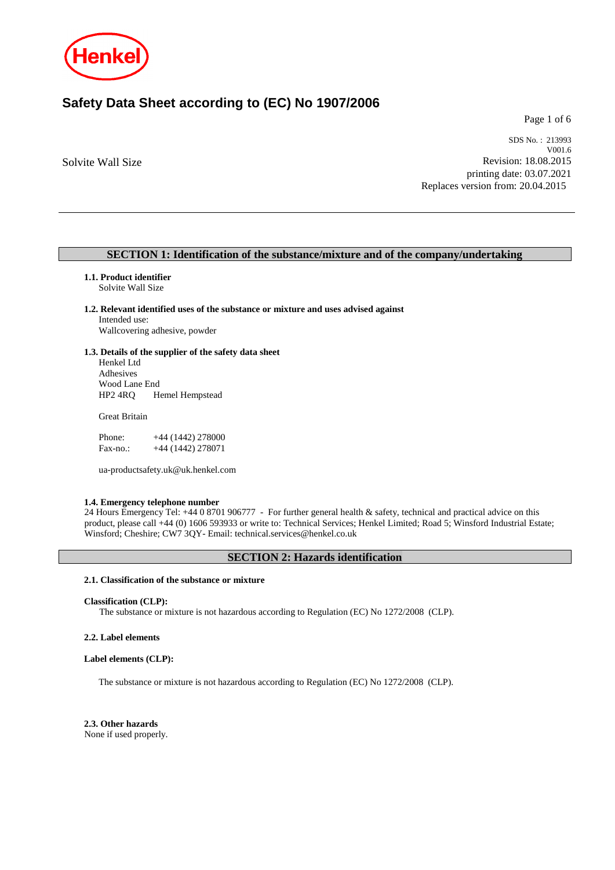

## **Safety Data Sheet according to (EC) No 1907/2006**

Page 1 of 6

Solvite Wall Size

SDS No. : 213993 V001.6 Revision: 18.08.2015 printing date: 03.07.2021 Replaces version from: 20.04.2015

## **SECTION 1: Identification of the substance/mixture and of the company/undertaking**

## **1.1. Product identifier**

Solvite Wall Size

## **1.2. Relevant identified uses of the substance or mixture and uses advised against** Intended use:

Wallcovering adhesive, powder

## **1.3. Details of the supplier of the safety data sheet**

Henkel Ltd Adhesives Wood Lane End<br>HP2 4RQ He Hemel Hempstead

Great Britain

| Phone:   | $+44(1442)278000$ |
|----------|-------------------|
| Fax-no.: | $+44(1442)278071$ |

ua-productsafety.uk@uk.henkel.com

## **1.4. Emergency telephone number**

24 Hours Emergency Tel: +44 0 8701 906777 - For further general health & safety, technical and practical advice on this product, please call +44 (0) 1606 593933 or write to: Technical Services; Henkel Limited; Road 5; Winsford Industrial Estate; Winsford; Cheshire; CW7 3QY- Email: technical.services@henkel.co.uk

## **SECTION 2: Hazards identification**

## **2.1. Classification of the substance or mixture**

#### **Classification (CLP):**

The substance or mixture is not hazardous according to Regulation (EC) No 1272/2008 (CLP).

#### **2.2. Label elements**

#### **Label elements (CLP):**

The substance or mixture is not hazardous according to Regulation (EC) No 1272/2008 (CLP).

**2.3. Other hazards** None if used properly.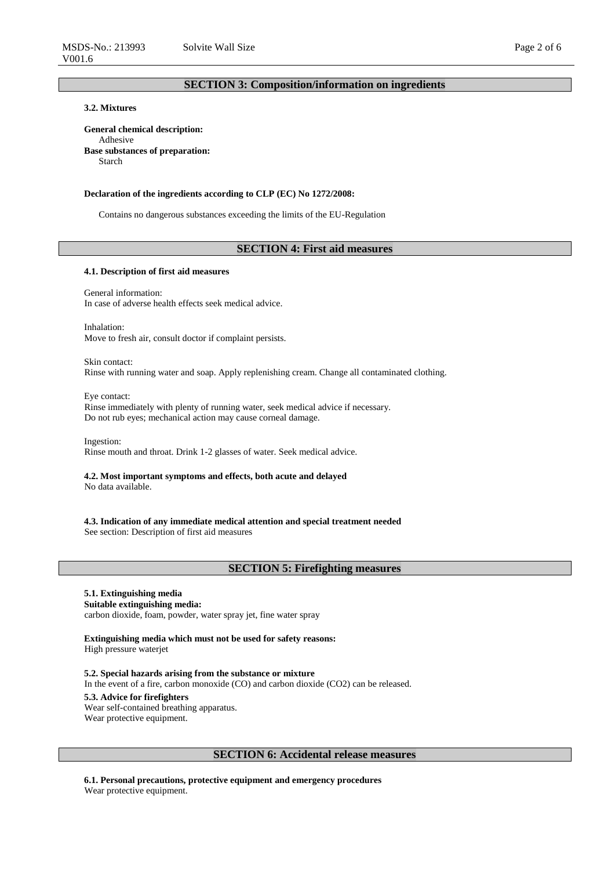## **3.2. Mixtures**

**General chemical description:** Adhesive **Base substances of preparation:** Starch

#### **Declaration of the ingredients according to CLP (EC) No 1272/2008:**

Contains no dangerous substances exceeding the limits of the EU-Regulation

## **SECTION 4: First aid measures**

#### **4.1. Description of first aid measures**

General information: In case of adverse health effects seek medical advice.

Inhalation: Move to fresh air, consult doctor if complaint persists.

Skin contact: Rinse with running water and soap. Apply replenishing cream. Change all contaminated clothing.

Eye contact: Rinse immediately with plenty of running water, seek medical advice if necessary. Do not rub eyes; mechanical action may cause corneal damage.

Ingestion: Rinse mouth and throat. Drink 1-2 glasses of water. Seek medical advice.

**4.2. Most important symptoms and effects, both acute and delayed** No data available.

**4.3. Indication of any immediate medical attention and special treatment needed** See section: Description of first aid measures

## **SECTION 5: Firefighting measures**

## **5.1. Extinguishing media**

**Suitable extinguishing media:** carbon dioxide, foam, powder, water spray jet, fine water spray

**Extinguishing media which must not be used for safety reasons:** High pressure waterjet

**5.2. Special hazards arising from the substance or mixture** In the event of a fire, carbon monoxide (CO) and carbon dioxide (CO2) can be released. **5.3. Advice for firefighters** Wear self-contained breathing apparatus. Wear protective equipment.

## **SECTION 6: Accidental release measures**

**6.1. Personal precautions, protective equipment and emergency procedures** Wear protective equipment.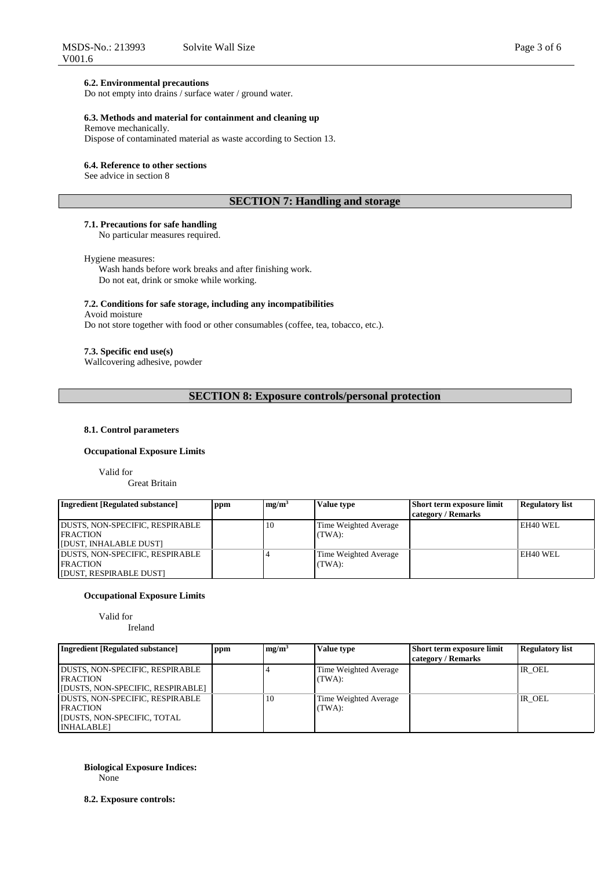#### **6.2. Environmental precautions**

Do not empty into drains / surface water / ground water.

## **6.3. Methods and material for containment and cleaning up**

Remove mechanically.

Dispose of contaminated material as waste according to Section 13.

#### **6.4. Reference to other sections**

See advice in section 8

## **SECTION 7: Handling and storage**

## **7.1. Precautions for safe handling**

No particular measures required.

#### Hygiene measures:

Wash hands before work breaks and after finishing work. Do not eat, drink or smoke while working.

#### **7.2. Conditions for safe storage, including any incompatibilities**

Avoid moisture

Do not store together with food or other consumables (coffee, tea, tobacco, etc.).

## **7.3. Specific end use(s)**

Wallcovering adhesive, powder

**SECTION 8: Exposure controls/personal protection**

## **8.1. Control parameters**

#### **Occupational Exposure Limits**

Valid for

Great Britain

| <b>Ingredient [Regulated substance]</b>                                       | ppm | mg/m <sup>3</sup> | Value type                      | <b>Short term exposure limit</b> | Regulatory list |
|-------------------------------------------------------------------------------|-----|-------------------|---------------------------------|----------------------------------|-----------------|
|                                                                               |     |                   |                                 | category / Remarks               |                 |
| DUSTS, NON-SPECIFIC, RESPIRABLE<br><b>FRACTION</b><br>[DUST, INHALABLE DUST]  |     | 10                | Time Weighted Average<br>(TWA): |                                  | EH40 WEL        |
| DUSTS, NON-SPECIFIC, RESPIRABLE<br><b>FRACTION</b><br>[DUST, RESPIRABLE DUST] |     |                   | Time Weighted Average<br>(TWA): |                                  | EH40 WEL        |

## **Occupational Exposure Limits**

Valid for

Ireland

| <b>Ingredient [Regulated substance]</b> | ppm | mg/m <sup>3</sup> | Value type            | Short term exposure limit<br>category / Remarks | <b>Regulatory list</b> |
|-----------------------------------------|-----|-------------------|-----------------------|-------------------------------------------------|------------------------|
| <b>DUSTS, NON-SPECIFIC, RESPIRABLE</b>  |     |                   | Time Weighted Average |                                                 | IR OEL                 |
| <b>FRACTION</b>                         |     |                   | (TWA):                |                                                 |                        |
| [DUSTS, NON-SPECIFIC, RESPIRABLE]       |     |                   |                       |                                                 |                        |
| DUSTS, NON-SPECIFIC, RESPIRABLE         |     | 10                | Time Weighted Average |                                                 | IR OEL                 |
| <b>FRACTION</b>                         |     |                   | (TWA):                |                                                 |                        |
| <b>IDUSTS, NON-SPECIFIC, TOTAL</b>      |     |                   |                       |                                                 |                        |
| <b>INHALABLEI</b>                       |     |                   |                       |                                                 |                        |

**Biological Exposure Indices:** None

**8.2. Exposure controls:**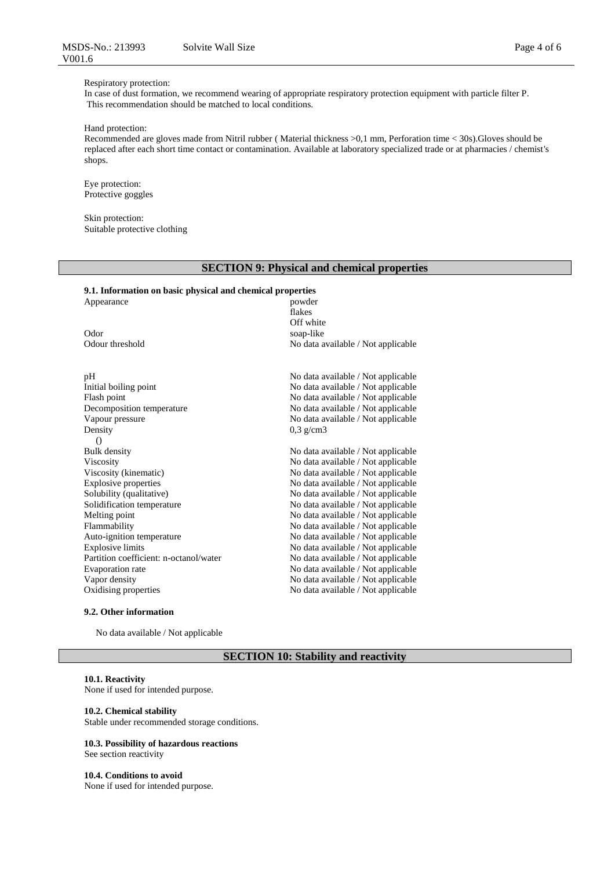## Respiratory protection:

In case of dust formation, we recommend wearing of appropriate respiratory protection equipment with particle filter P. This recommendation should be matched to local conditions.

## Hand protection:

Recommended are gloves made from Nitril rubber ( Material thickness >0,1 mm, Perforation time < 30s).Gloves should be replaced after each short time contact or contamination. Available at laboratory specialized trade or at pharmacies / chemist's shops.

Eye protection: Protective goggles

Skin protection: Suitable protective clothing

## **SECTION 9: Physical and chemical properties**

## **9.1. Information on basic physical and chemical properties**

| Appearance                             | powder                             |  |  |
|----------------------------------------|------------------------------------|--|--|
|                                        | flakes                             |  |  |
|                                        | Off white                          |  |  |
| Odor                                   | soap-like                          |  |  |
| Odour threshold                        | No data available / Not applicable |  |  |
| pH                                     | No data available / Not applicable |  |  |
| Initial boiling point                  | No data available / Not applicable |  |  |
| Flash point                            | No data available / Not applicable |  |  |
| Decomposition temperature              | No data available / Not applicable |  |  |
| Vapour pressure                        | No data available / Not applicable |  |  |
| Density                                | $0.3$ g/cm3                        |  |  |
| $\Omega$                               |                                    |  |  |
| <b>Bulk</b> density                    | No data available / Not applicable |  |  |
| Viscosity                              | No data available / Not applicable |  |  |
| Viscosity (kinematic)                  | No data available / Not applicable |  |  |
| <b>Explosive properties</b>            | No data available / Not applicable |  |  |
| Solubility (qualitative)               | No data available / Not applicable |  |  |
| Solidification temperature             | No data available / Not applicable |  |  |
| Melting point                          | No data available / Not applicable |  |  |
| Flammability                           | No data available / Not applicable |  |  |
| Auto-ignition temperature              | No data available / Not applicable |  |  |
| <b>Explosive limits</b>                | No data available / Not applicable |  |  |
| Partition coefficient: n-octanol/water | No data available / Not applicable |  |  |
| Evaporation rate                       | No data available / Not applicable |  |  |
| Vapor density                          | No data available / Not applicable |  |  |
| Oxidising properties                   | No data available / Not applicable |  |  |

#### **9.2. Other information**

No data available / Not applicable

## **SECTION 10: Stability and reactivity**

#### **10.1. Reactivity**

None if used for intended purpose.

#### **10.2. Chemical stability**

Stable under recommended storage conditions.

#### **10.3. Possibility of hazardous reactions** See section reactivity

**10.4. Conditions to avoid** None if used for intended purpose.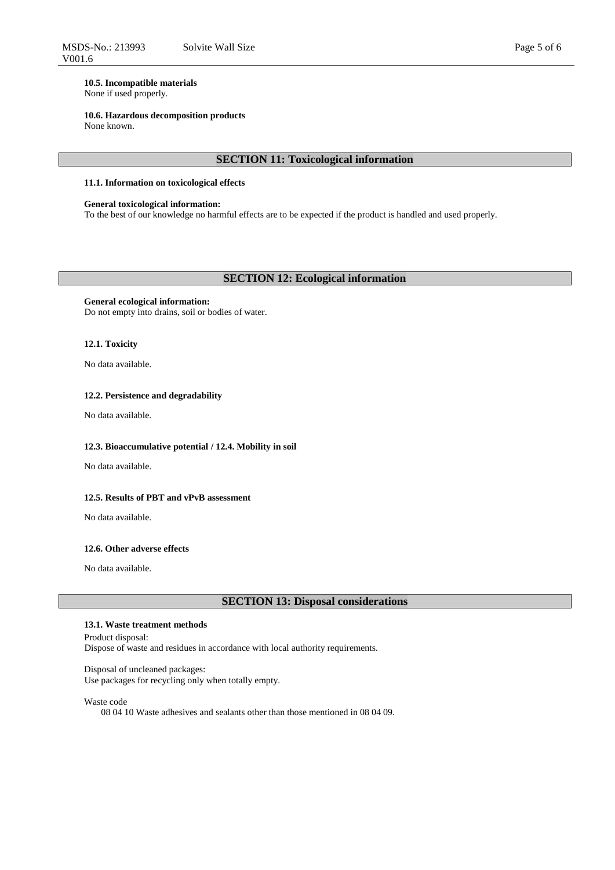## **10.5. Incompatible materials**

None if used properly.

## **10.6. Hazardous decomposition products**

None known.

## **SECTION 11: Toxicological information**

#### **11.1. Information on toxicological effects**

## **General toxicological information:**

To the best of our knowledge no harmful effects are to be expected if the product is handled and used properly.

## **SECTION 12: Ecological information**

#### **General ecological information:**

Do not empty into drains, soil or bodies of water.

## **12.1. Toxicity**

No data available.

#### **12.2. Persistence and degradability**

No data available.

#### **12.3. Bioaccumulative potential / 12.4. Mobility in soil**

No data available.

## **12.5. Results of PBT and vPvB assessment**

No data available.

## **12.6. Other adverse effects**

No data available.

## **SECTION 13: Disposal considerations**

## **13.1. Waste treatment methods**

Product disposal: Dispose of waste and residues in accordance with local authority requirements.

Disposal of uncleaned packages: Use packages for recycling only when totally empty.

Waste code

08 04 10 Waste adhesives and sealants other than those mentioned in 08 04 09.